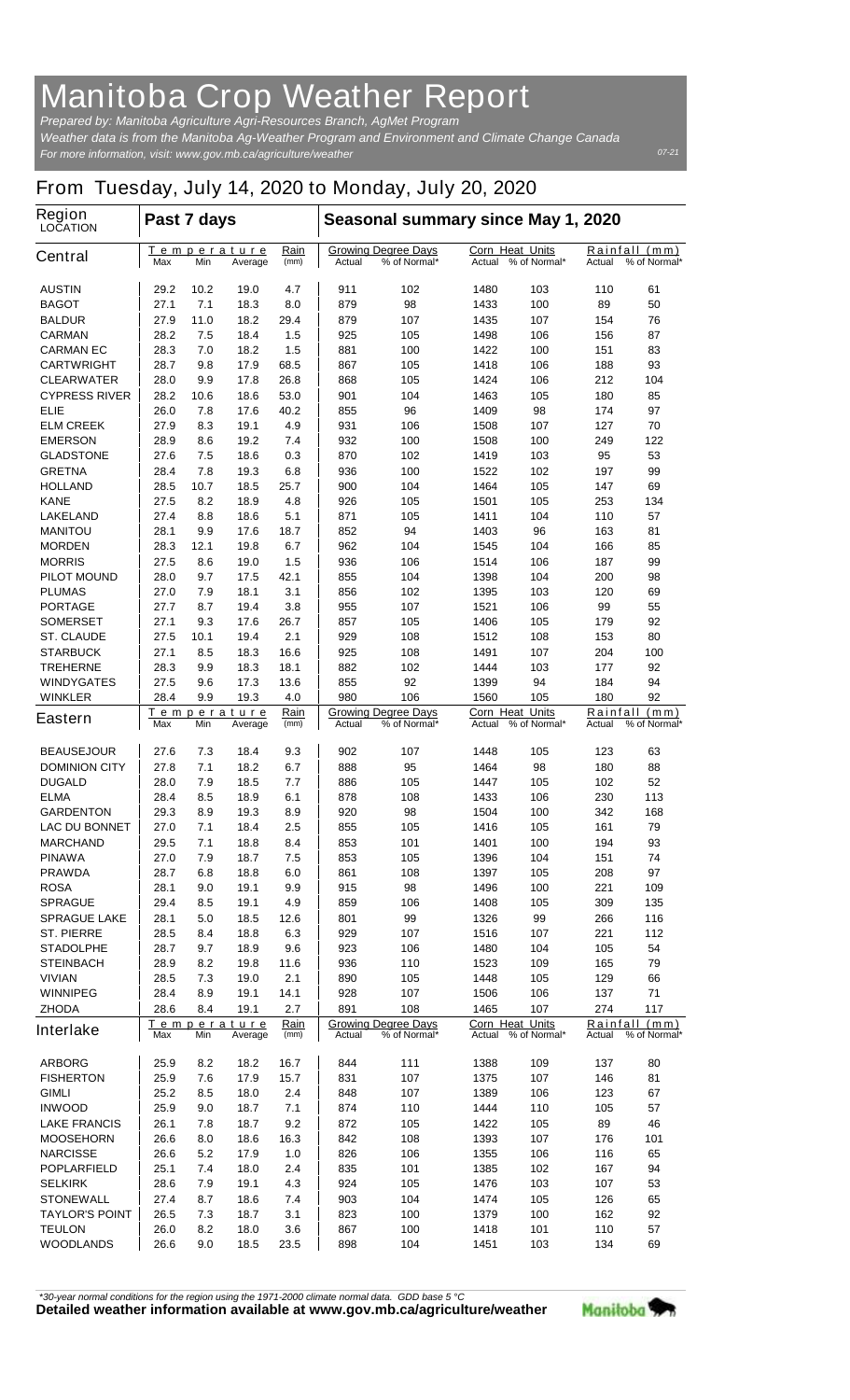## **Manitoba Crop Weather Report**

*For more information, visit: www.gov.mb.ca/agriculture/weather Prepared by: Manitoba Agriculture Agri-Resources Branch, AgMet Program Weather data is from the Manitoba Ag-Weather Program and Environment and Climate Change Canada*

## **From Tuesday, July 14, 2020 to Monday, July 20, 2020**

| <b>Region</b><br><b>LOCATION</b>       | Past 7 days                                                 |            |              |                                                      | Seasonal summary since May 1, 2020                   |                                               |                                                  |                                         |                                            |          |
|----------------------------------------|-------------------------------------------------------------|------------|--------------|------------------------------------------------------|------------------------------------------------------|-----------------------------------------------|--------------------------------------------------|-----------------------------------------|--------------------------------------------|----------|
| <b>Central</b>                         | Temperature<br>Max<br>Min<br>Average                        |            |              | Rain<br>(mm)                                         | <b>Growing Degree Days</b><br>% of Normal*<br>Actual |                                               | <b>Corn Heat Units</b><br>% of Normal*<br>Actual |                                         | Rainfall (mm)<br>% of Normal*<br>Actual    |          |
| <b>AUSTIN</b>                          | 29.2                                                        | 10.2       | 19.0         | 4.7                                                  | 911                                                  | 102                                           | 1480                                             | 103                                     | 110                                        | 61       |
| <b>BAGOT</b>                           | 27.1                                                        | 7.1        | 18.3         | 8.0                                                  | 879                                                  | 98                                            | 1433                                             | 100                                     | 89                                         | 50       |
| <b>BALDUR</b>                          | 27.9                                                        | 11.0       | 18.2         | 29.4                                                 | 879                                                  | 107                                           | 1435                                             | 107                                     | 154                                        | 76       |
| <b>CARMAN</b>                          | 28.2                                                        | 7.5        | 18.4         | 1.5                                                  | 925                                                  | 105                                           | 1498                                             | 106                                     | 156                                        | 87       |
| <b>CARMAN EC</b>                       | 28.3                                                        | 7.0        | 18.2         | 1.5                                                  | 881                                                  | 100                                           | 1422                                             | 100                                     | 151                                        | 83       |
| <b>CARTWRIGHT</b>                      | 28.7                                                        | 9.8        | 17.9         | 68.5                                                 | 867                                                  | 105                                           | 1418                                             | 106                                     | 188                                        | 93       |
| <b>CLEARWATER</b>                      | 28.0                                                        | 9.9        | 17.8         | 26.8                                                 | 868                                                  | 105                                           | 1424                                             | 106                                     | 212                                        | 104      |
| <b>CYPRESS RIVER</b>                   | 28.2                                                        | 10.6       | 18.6         | 53.0                                                 | 901                                                  | 104                                           | 1463                                             | 105                                     | 180                                        | 85       |
| <b>ELIE</b>                            | 26.0                                                        | 7.8        | 17.6         | 40.2                                                 | 855                                                  | 96                                            | 1409                                             | 98                                      | 174                                        | 97       |
| <b>ELM CREEK</b>                       | 27.9                                                        | 8.3        | 19.1         | 4.9                                                  | 931                                                  | 106                                           | 1508                                             | 107                                     | 127                                        | 70       |
| <b>EMERSON</b>                         | 28.9                                                        | 8.6        | 19.2         | 7.4                                                  | 932                                                  | 100                                           | 1508                                             | 100                                     | 249<br>95                                  | 122      |
| <b>GLADSTONE</b>                       | 27.6                                                        | 7.5<br>7.8 | 18.6         | 0.3                                                  | 870                                                  | 102                                           | 1419                                             | 103                                     |                                            | 53<br>99 |
| <b>GRETNA</b><br><b>HOLLAND</b>        | 28.4<br>28.5                                                | 10.7       | 19.3<br>18.5 | 6.8<br>25.7                                          | 936<br>900                                           | 100<br>104                                    | 1522<br>1464                                     | 102<br>105                              | 197<br>147                                 | 69       |
| <b>KANE</b>                            | 27.5                                                        | 8.2        | 18.9         | 4.8                                                  | 926                                                  | 105                                           | 1501                                             | 105                                     | 253                                        | 134      |
| <b>LAKELAND</b>                        | 27.4                                                        | 8.8        | 18.6         | 5.1                                                  | 871                                                  | 105                                           | 1411                                             | 104                                     | 110                                        | 57       |
| <b>MANITOU</b>                         | 28.1                                                        | 9.9        | 17.6         | 18.7                                                 | 852                                                  | 94                                            | 1403                                             | 96                                      | 163                                        | 81       |
| <b>MORDEN</b>                          | 28.3                                                        | 12.1       | 19.8         | 6.7                                                  | 962                                                  | 104                                           | 1545                                             | 104                                     | 166                                        | 85       |
| <b>MORRIS</b>                          | 27.5                                                        | 8.6        | 19.0         | 1.5                                                  | 936                                                  | 106                                           | 1514                                             | 106                                     | 187                                        | 99       |
| <b>PILOT MOUND</b>                     | 28.0                                                        | 9.7        | 17.5         | 42.1                                                 | 855                                                  | 104                                           | 1398                                             | 104                                     | 200                                        | 98       |
| <b>PLUMAS</b>                          | 27.0                                                        | 7.9        | 18.1         | 3.1                                                  | 856                                                  | 102                                           | 1395                                             | 103                                     | 120                                        | 69       |
| <b>PORTAGE</b>                         | 27.7                                                        | 8.7        | 19.4         | 3.8                                                  | 955                                                  | 107                                           | 1521                                             | 106                                     | 99                                         | 55       |
| <b>SOMERSET</b>                        | 27.1                                                        | 9.3        | 17.6         | 26.7                                                 | 857                                                  | 105                                           | 1406                                             | 105                                     | 179                                        | 92       |
| <b>ST. CLAUDE</b>                      | 27.5                                                        | 10.1       | 19.4         | 2.1                                                  | 929                                                  | 108                                           | 1512                                             | 108                                     | 153                                        | 80       |
| <b>STARBUCK</b>                        | 27.1                                                        | 8.5        | 18.3         | 16.6                                                 | 925                                                  | 108                                           | 1491                                             | 107                                     | 204                                        | 100      |
| <b>TREHERNE</b>                        | 28.3                                                        | 9.9        | 18.3         | 18.1                                                 | 882                                                  | 102                                           | 1444                                             | 103                                     | 177                                        | 92       |
| <b>WINDYGATES</b>                      | 27.5                                                        | 9.6        | 17.3         | 13.6                                                 | 855                                                  | 92                                            | 1399                                             | 94                                      | 184                                        | 94       |
| <b>WINKLER</b>                         | 28.4                                                        | 9.9        | 19.3         | 4.0                                                  | 980                                                  | 106                                           | 1560<br><b>Corn Heat Units</b>                   | 105                                     | 180                                        | 92       |
| <b>Eastern</b>                         | Rain<br><b>Temperature</b><br>(mm)<br>Max<br>Min<br>Average |            |              |                                                      | <b>Growing Degree Days</b><br>Actual<br>% of Normal* |                                               | Actual                                           | % of Normal*                            | Rainfall<br>(mm)<br>% of Normal*<br>Actual |          |
| <b>BEAUSEJOUR</b>                      | 27.6                                                        | 7.3        | 18.4         | 9.3                                                  | 902                                                  | 107                                           | 1448                                             | 105                                     | 123                                        | 63       |
| <b>DOMINION CITY</b>                   | 27.8                                                        | 7.1        | 18.2         | 6.7                                                  | 888                                                  | 95                                            | 1464                                             | 98                                      | 180                                        | 88       |
| <b>DUGALD</b>                          | 28.0                                                        | 7.9        | 18.5         | 7.7                                                  | 886                                                  | 105                                           | 1447                                             | 105                                     | 102                                        | 52       |
| <b>ELMA</b>                            | 28.4                                                        | 8.5        | 18.9         | 6.1                                                  | 878                                                  | 108                                           | 1433                                             | 106                                     | 230                                        | 113      |
| <b>GARDENTON</b>                       | 29.3                                                        | 8.9        | 19.3         | 8.9                                                  | 920                                                  | 98                                            | 1504                                             | 100                                     | 342                                        | 168      |
| <b>LAC DU BONNET</b>                   | 27.0                                                        | 7.1        | 18.4         | 2.5                                                  | 855                                                  | 105                                           | 1416                                             | 105                                     | 161                                        | 79       |
| <b>MARCHAND</b>                        | 29.5                                                        | 7.1        | 18.8         | 8.4                                                  | 853                                                  | 101                                           | 1401                                             | 100                                     | 194                                        | 93       |
| <b>PINAWA</b><br><b>PRAWDA</b>         | 27.0<br>28.7                                                | 7.9<br>6.8 | 18.7<br>18.8 | 7.5<br>6.0                                           | 853<br>861                                           | 105<br>108                                    | 1396<br>1397                                     | 104<br>105                              | 151<br>208                                 | 74<br>97 |
| <b>ROSA</b>                            | 28.1                                                        | 9.0        | 19.1         | 9.9                                                  | 915                                                  | 98                                            | 1496                                             | 100                                     | 221                                        | 109      |
| <b>SPRAGUE</b>                         | 29.4                                                        | 8.5        | 19.1         | 4.9                                                  | 859                                                  | 106                                           | 1408                                             | 105                                     | 309                                        | 135      |
| <b>SPRAGUE LAKE</b>                    | 28.1                                                        | 5.0        | 18.5         | 12.6                                                 | 801                                                  | 99                                            | 1326                                             | 99                                      | 266                                        | 116      |
| <b>ST. PIERRE</b>                      | 28.5                                                        | 8.4        | 18.8         | 6.3                                                  | 929                                                  | 107                                           | 1516                                             | 107                                     | 221                                        | 112      |
| <b>STADOLPHE</b>                       | 28.7                                                        | 9.7        | 18.9         | 9.6                                                  | 923                                                  | 106                                           | 1480                                             | 104                                     | 105                                        | 54       |
| <b>STEINBACH</b>                       | 28.9                                                        | 8.2        | 19.8         | 11.6                                                 | 936                                                  | 110                                           | 1523                                             | 109                                     | 165                                        | 79       |
| <b>VIVIAN</b>                          | 28.5                                                        | 7.3        | 19.0         | 2.1                                                  | 890                                                  | 105                                           | 1448                                             | 105                                     | 129                                        | 66       |
| <b>WINNIPEG</b>                        | 28.4                                                        | 8.9        | 19.1         | 14.1                                                 | 928                                                  | 107                                           | 1506                                             | 106                                     | 137                                        | 71       |
| <b>ZHODA</b>                           | 28.6                                                        | 8.4        | 19.1         | 2.7                                                  | 891                                                  | 108                                           | 1465                                             | 107                                     | 274                                        | 117      |
| <b>Interlake</b>                       | Temperature<br>Max<br>Min<br>Average                        |            | Rain<br>(mm) | <b>Growing Degree Days</b><br>% of Normal*<br>Actual |                                                      | <b>Corn Heat Units</b><br>Actual % of Normal* |                                                  | Rainfall (mm)<br>% of Normal*<br>Actual |                                            |          |
| <b>ARBORG</b>                          | 25.9                                                        | 8.2        | 18.2         | 16.7                                                 | 844                                                  | 111                                           | 1388                                             | 109                                     | 137                                        | 80       |
| <b>FISHERTON</b>                       | 25.9                                                        | 7.6        | 17.9         | 15.7                                                 | 831                                                  | 107                                           | 1375                                             | 107                                     | 146                                        | 81       |
| <b>GIMLI</b>                           | 25.2                                                        | 8.5        | 18.0         | 2.4                                                  | 848                                                  | 107                                           | 1389                                             | 106                                     | 123                                        | 67       |
| <b>INWOOD</b>                          | 25.9                                                        | 9.0        | 18.7         | 7.1                                                  | 874                                                  | 110                                           | 1444                                             | 110                                     | 105                                        | 57       |
| <b>LAKE FRANCIS</b>                    | 26.1                                                        | 7.8        | 18.7         | 9.2                                                  | 872                                                  | 105                                           | 1422                                             | 105                                     | 89                                         | 46       |
| <b>MOOSEHORN</b>                       | 26.6                                                        | 8.0        | 18.6         | 16.3                                                 | 842                                                  | 108                                           | 1393                                             | 107                                     | 176                                        | 101      |
| <b>NARCISSE</b>                        | 26.6                                                        | 5.2        | 17.9         | 1.0                                                  | 826                                                  | 106                                           | 1355                                             | 106                                     | 116                                        | 65       |
| <b>POPLARFIELD</b>                     | 25.1                                                        | 7.4        | 18.0         | 2.4                                                  | 835                                                  | 101                                           | 1385                                             | 102                                     | 167                                        | 94       |
| <b>SELKIRK</b>                         | 28.6                                                        | 7.9        | 19.1         | 4.3                                                  | 924                                                  | 105                                           | 1476                                             | 103                                     | 107                                        | 53       |
| <b>STONEWALL</b>                       | 27.4                                                        | 8.7        | 18.6         | 7.4                                                  | 903                                                  | 104                                           | 1474                                             | 105                                     | 126                                        | 65       |
| <b>TAYLOR'S POINT</b><br><b>TEULON</b> | 26.5<br>26.0                                                | 7.3<br>8.2 | 18.7<br>18.0 | 3.1                                                  | 823                                                  | 100<br>100                                    | 1379                                             | 100<br>101                              | 162<br>110                                 | 92<br>57 |
| <b>WOODLANDS</b>                       | 26.6                                                        | 9.0        | 18.5         | 3.6<br>23.5                                          | 867<br>898                                           | 104                                           | 1418<br>1451                                     | 103                                     | 134                                        | 69       |
|                                        |                                                             |            |              |                                                      |                                                      |                                               |                                                  |                                         |                                            |          |

*\*30-year normal conditions for the region using the 1971-2000 climate normal data. GDD base 5 °C*<br>Detailed weather information available at www.gov.mb.ca/agriculture/weather